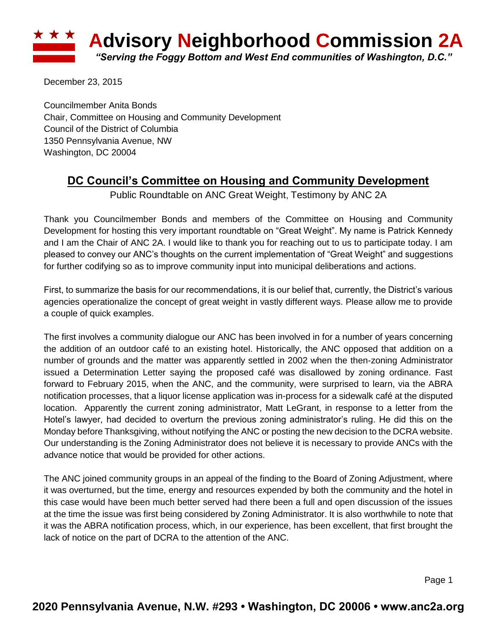

December 23, 2015

Councilmember Anita Bonds Chair, Committee on Housing and Community Development Council of the District of Columbia 1350 Pennsylvania Avenue, NW Washington, DC 20004

## **DC Council's Committee on Housing and Community Development**

Public Roundtable on ANC Great Weight, Testimony by ANC 2A

Thank you Councilmember Bonds and members of the Committee on Housing and Community Development for hosting this very important roundtable on "Great Weight". My name is Patrick Kennedy and I am the Chair of ANC 2A. I would like to thank you for reaching out to us to participate today. I am pleased to convey our ANC's thoughts on the current implementation of "Great Weight" and suggestions for further codifying so as to improve community input into municipal deliberations and actions.

First, to summarize the basis for our recommendations, it is our belief that, currently, the District's various agencies operationalize the concept of great weight in vastly different ways. Please allow me to provide a couple of quick examples.

The first involves a community dialogue our ANC has been involved in for a number of years concerning the addition of an outdoor café to an existing hotel. Historically, the ANC opposed that addition on a number of grounds and the matter was apparently settled in 2002 when the then-zoning Administrator issued a Determination Letter saying the proposed café was disallowed by zoning ordinance. Fast forward to February 2015, when the ANC, and the community, were surprised to learn, via the ABRA notification processes, that a liquor license application was in-process for a sidewalk café at the disputed location. Apparently the current zoning administrator, Matt LeGrant, in response to a letter from the Hotel's lawyer, had decided to overturn the previous zoning administrator's ruling. He did this on the Monday before Thanksgiving, without notifying the ANC or posting the new decision to the DCRA website. Our understanding is the Zoning Administrator does not believe it is necessary to provide ANCs with the advance notice that would be provided for other actions.

The ANC joined community groups in an appeal of the finding to the Board of Zoning Adjustment, where it was overturned, but the time, energy and resources expended by both the community and the hotel in this case would have been much better served had there been a full and open discussion of the issues at the time the issue was first being considered by Zoning Administrator. It is also worthwhile to note that it was the ABRA notification process, which, in our experience, has been excellent, that first brought the lack of notice on the part of DCRA to the attention of the ANC.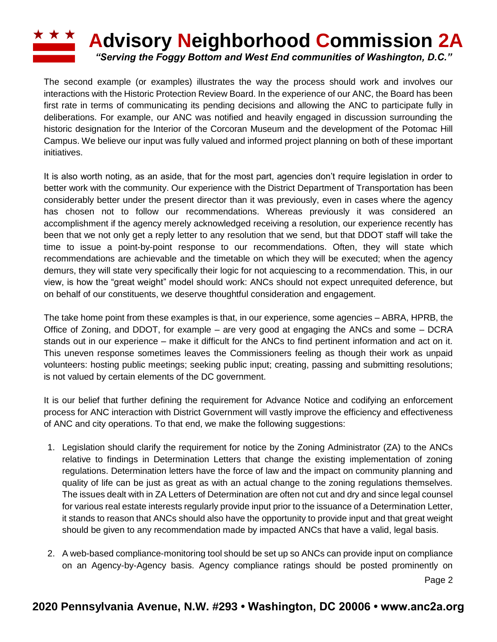## **Advisory Neighborhood Commission 2A** *"Serving the Foggy Bottom and West End communities of Washington, D.C."*

The second example (or examples) illustrates the way the process should work and involves our interactions with the Historic Protection Review Board. In the experience of our ANC, the Board has been first rate in terms of communicating its pending decisions and allowing the ANC to participate fully in deliberations. For example, our ANC was notified and heavily engaged in discussion surrounding the historic designation for the Interior of the Corcoran Museum and the development of the Potomac Hill Campus. We believe our input was fully valued and informed project planning on both of these important initiatives.

It is also worth noting, as an aside, that for the most part, agencies don't require legislation in order to better work with the community. Our experience with the District Department of Transportation has been considerably better under the present director than it was previously, even in cases where the agency has chosen not to follow our recommendations. Whereas previously it was considered an accomplishment if the agency merely acknowledged receiving a resolution, our experience recently has been that we not only get a reply letter to any resolution that we send, but that DDOT staff will take the time to issue a point-by-point response to our recommendations. Often, they will state which recommendations are achievable and the timetable on which they will be executed; when the agency demurs, they will state very specifically their logic for not acquiescing to a recommendation. This, in our view, is how the "great weight" model should work: ANCs should not expect unrequited deference, but on behalf of our constituents, we deserve thoughtful consideration and engagement.

The take home point from these examples is that, in our experience, some agencies – ABRA, HPRB, the Office of Zoning, and DDOT, for example – are very good at engaging the ANCs and some – DCRA stands out in our experience – make it difficult for the ANCs to find pertinent information and act on it. This uneven response sometimes leaves the Commissioners feeling as though their work as unpaid volunteers: hosting public meetings; seeking public input; creating, passing and submitting resolutions; is not valued by certain elements of the DC government.

It is our belief that further defining the requirement for Advance Notice and codifying an enforcement process for ANC interaction with District Government will vastly improve the efficiency and effectiveness of ANC and city operations. To that end, we make the following suggestions:

- 1. Legislation should clarify the requirement for notice by the Zoning Administrator (ZA) to the ANCs relative to findings in Determination Letters that change the existing implementation of zoning regulations. Determination letters have the force of law and the impact on community planning and quality of life can be just as great as with an actual change to the zoning regulations themselves. The issues dealt with in ZA Letters of Determination are often not cut and dry and since legal counsel for various real estate interests regularly provide input prior to the issuance of a Determination Letter, it stands to reason that ANCs should also have the opportunity to provide input and that great weight should be given to any recommendation made by impacted ANCs that have a valid, legal basis.
- 2. A web-based compliance-monitoring tool should be set up so ANCs can provide input on compliance on an Agency-by-Agency basis. Agency compliance ratings should be posted prominently on

Page 2